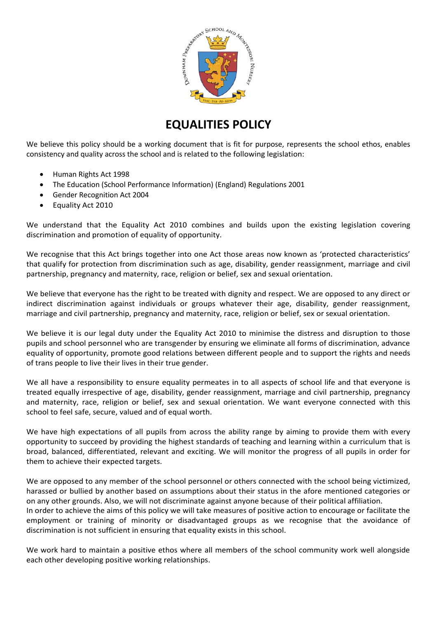

# **EQUALITIES POLICY**

We believe this policy should be a working document that is fit for purpose, represents the school ethos, enables consistency and quality across the school and is related to the following legislation:

- Human Rights Act 1998
- The Education (School Performance Information) (England) Regulations 2001
- Gender Recognition Act 2004
- Equality Act 2010

We understand that the Equality Act 2010 combines and builds upon the existing legislation covering discrimination and promotion of equality of opportunity.

We recognise that this Act brings together into one Act those areas now known as 'protected characteristics' that qualify for protection from discrimination such as age, disability, gender reassignment, marriage and civil partnership, pregnancy and maternity, race, religion or belief, sex and sexual orientation.

We believe that everyone has the right to be treated with dignity and respect. We are opposed to any direct or indirect discrimination against individuals or groups whatever their age, disability, gender reassignment, marriage and civil partnership, pregnancy and maternity, race, religion or belief, sex or sexual orientation.

We believe it is our legal duty under the Equality Act 2010 to minimise the distress and disruption to those pupils and school personnel who are transgender by ensuring we eliminate all forms of discrimination, advance equality of opportunity, promote good relations between different people and to support the rights and needs of trans people to live their lives in their true gender.

We all have a responsibility to ensure equality permeates in to all aspects of school life and that everyone is treated equally irrespective of age, disability, gender reassignment, marriage and civil partnership, pregnancy and maternity, race, religion or belief, sex and sexual orientation. We want everyone connected with this school to feel safe, secure, valued and of equal worth.

We have high expectations of all pupils from across the ability range by aiming to provide them with every opportunity to succeed by providing the highest standards of teaching and learning within a curriculum that is broad, balanced, differentiated, relevant and exciting. We will monitor the progress of all pupils in order for them to achieve their expected targets.

We are opposed to any member of the school personnel or others connected with the school being victimized, harassed or bullied by another based on assumptions about their status in the afore mentioned categories or on any other grounds. Also, we will not discriminate against anyone because of their political affiliation. In order to achieve the aims of this policy we will take measures of positive action to encourage or facilitate the employment or training of minority or disadvantaged groups as we recognise that the avoidance of discrimination is not sufficient in ensuring that equality exists in this school.

We work hard to maintain a positive ethos where all members of the school community work well alongside each other developing positive working relationships.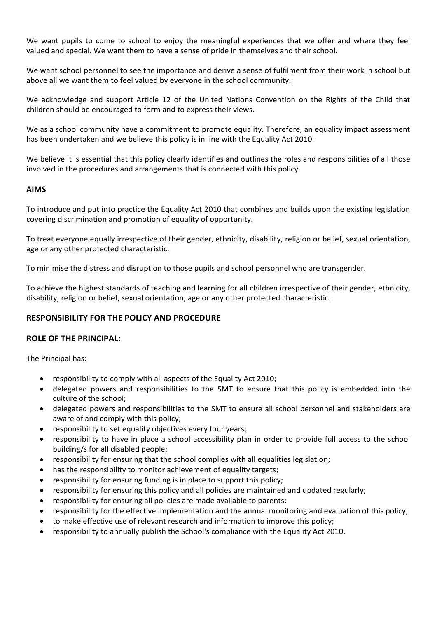We want pupils to come to school to enjoy the meaningful experiences that we offer and where they feel valued and special. We want them to have a sense of pride in themselves and their school.

We want school personnel to see the importance and derive a sense of fulfilment from their work in school but above all we want them to feel valued by everyone in the school community.

We acknowledge and support Article 12 of the United Nations Convention on the Rights of the Child that children should be encouraged to form and to express their views.

We as a school community have a commitment to promote equality. Therefore, an equality impact assessment has been undertaken and we believe this policy is in line with the Equality Act 2010.

We believe it is essential that this policy clearly identifies and outlines the roles and responsibilities of all those involved in the procedures and arrangements that is connected with this policy.

## **AIMS**

To introduce and put into practice the Equality Act 2010 that combines and builds upon the existing legislation covering discrimination and promotion of equality of opportunity.

To treat everyone equally irrespective of their gender, ethnicity, disability, religion or belief, sexual orientation, age or any other protected characteristic.

To minimise the distress and disruption to those pupils and school personnel who are transgender.

To achieve the highest standards of teaching and learning for all children irrespective of their gender, ethnicity, disability, religion or belief, sexual orientation, age or any other protected characteristic.

## **RESPONSIBILITY FOR THE POLICY AND PROCEDURE**

## **ROLE OF THE PRINCIPAL:**

The Principal has:

- responsibility to comply with all aspects of the Equality Act 2010;
- delegated powers and responsibilities to the SMT to ensure that this policy is embedded into the culture of the school;
- delegated powers and responsibilities to the SMT to ensure all school personnel and stakeholders are aware of and comply with this policy;
- responsibility to set equality objectives every four years;
- responsibility to have in place a school accessibility plan in order to provide full access to the school building/s for all disabled people;
- responsibility for ensuring that the school complies with all equalities legislation;
- has the responsibility to monitor achievement of equality targets;
- responsibility for ensuring funding is in place to support this policy;
- responsibility for ensuring this policy and all policies are maintained and updated regularly;
- responsibility for ensuring all policies are made available to parents;
- responsibility for the effective implementation and the annual monitoring and evaluation of this policy;
- to make effective use of relevant research and information to improve this policy;
- responsibility to annually publish the School's compliance with the Equality Act 2010.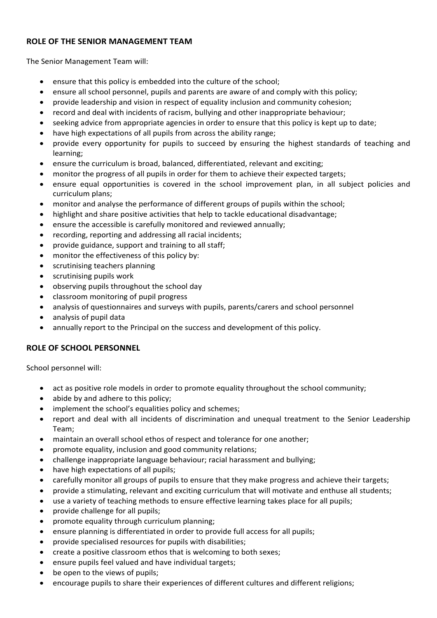# **ROLE OF THE SENIOR MANAGEMENT TEAM**

The Senior Management Team will:

- ensure that this policy is embedded into the culture of the school;
- ensure all school personnel, pupils and parents are aware of and comply with this policy;
- provide leadership and vision in respect of equality inclusion and community cohesion;
- record and deal with incidents of racism, bullying and other inappropriate behaviour;
- seeking advice from appropriate agencies in order to ensure that this policy is kept up to date;
- have high expectations of all pupils from across the ability range;
- provide every opportunity for pupils to succeed by ensuring the highest standards of teaching and learning;
- ensure the curriculum is broad, balanced, differentiated, relevant and exciting;
- monitor the progress of all pupils in order for them to achieve their expected targets;
- ensure equal opportunities is covered in the school improvement plan, in all subject policies and curriculum plans;
- monitor and analyse the performance of different groups of pupils within the school;
- highlight and share positive activities that help to tackle educational disadvantage;
- ensure the accessible is carefully monitored and reviewed annually;
- recording, reporting and addressing all racial incidents;
- provide guidance, support and training to all staff;
- monitor the effectiveness of this policy by:
- scrutinising teachers planning
- scrutinising pupils work
- observing pupils throughout the school day
- classroom monitoring of pupil progress
- analysis of questionnaires and surveys with pupils, parents/carers and school personnel
- analysis of pupil data
- annually report to the Principal on the success and development of this policy.

# **ROLE OF SCHOOL PERSONNEL**

School personnel will:

- act as positive role models in order to promote equality throughout the school community;
- abide by and adhere to this policy;
- implement the school's equalities policy and schemes;
- report and deal with all incidents of discrimination and unequal treatment to the Senior Leadership Team;
- maintain an overall school ethos of respect and tolerance for one another;
- promote equality, inclusion and good community relations;
- challenge inappropriate language behaviour; racial harassment and bullying;
- have high expectations of all pupils;
- carefully monitor all groups of pupils to ensure that they make progress and achieve their targets;
- provide a stimulating, relevant and exciting curriculum that will motivate and enthuse all students;
- use a variety of teaching methods to ensure effective learning takes place for all pupils;
- provide challenge for all pupils;
- promote equality through curriculum planning;
- ensure planning is differentiated in order to provide full access for all pupils;
- provide specialised resources for pupils with disabilities;
- create a positive classroom ethos that is welcoming to both sexes;
- ensure pupils feel valued and have individual targets;
- be open to the views of pupils;
- encourage pupils to share their experiences of different cultures and different religions;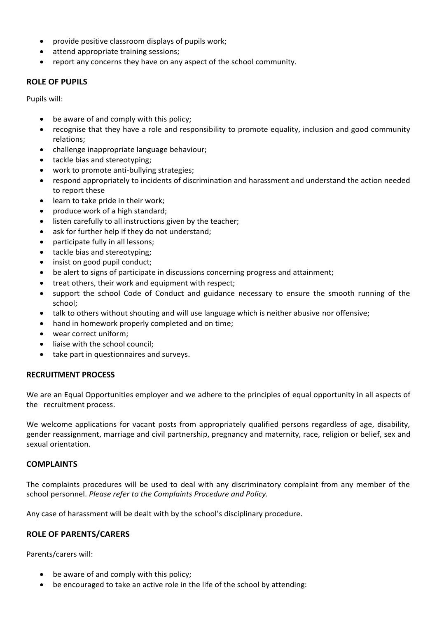- provide positive classroom displays of pupils work;
- attend appropriate training sessions;
- report any concerns they have on any aspect of the school community.

## **ROLE OF PUPILS**

Pupils will:

- be aware of and comply with this policy;
- recognise that they have a role and responsibility to promote equality, inclusion and good community relations;
- challenge inappropriate language behaviour;
- tackle bias and stereotyping;
- work to promote anti-bullying strategies;
- respond appropriately to incidents of discrimination and harassment and understand the action needed to report these
- learn to take pride in their work;
- produce work of a high standard;
- listen carefully to all instructions given by the teacher;
- ask for further help if they do not understand;
- participate fully in all lessons;
- tackle bias and stereotyping;
- insist on good pupil conduct;
- be alert to signs of participate in discussions concerning progress and attainment;
- treat others, their work and equipment with respect;
- support the school Code of Conduct and guidance necessary to ensure the smooth running of the school;
- talk to others without shouting and will use language which is neither abusive nor offensive;
- hand in homework properly completed and on time;
- wear correct uniform;
- liaise with the school council;
- take part in questionnaires and surveys.

#### **RECRUITMENT PROCESS**

We are an Equal Opportunities employer and we adhere to the principles of equal opportunity in all aspects of the recruitment process.

We welcome applications for vacant posts from appropriately qualified persons regardless of age, disability, gender reassignment, marriage and civil partnership, pregnancy and maternity, race, religion or belief, sex and sexual orientation.

#### **COMPLAINTS**

The complaints procedures will be used to deal with any discriminatory complaint from any member of the school personnel. *Please refer to the Complaints Procedure and Policy.*

Any case of harassment will be dealt with by the school's disciplinary procedure.

## **ROLE OF PARENTS/CARERS**

Parents/carers will:

- be aware of and comply with this policy;
- be encouraged to take an active role in the life of the school by attending: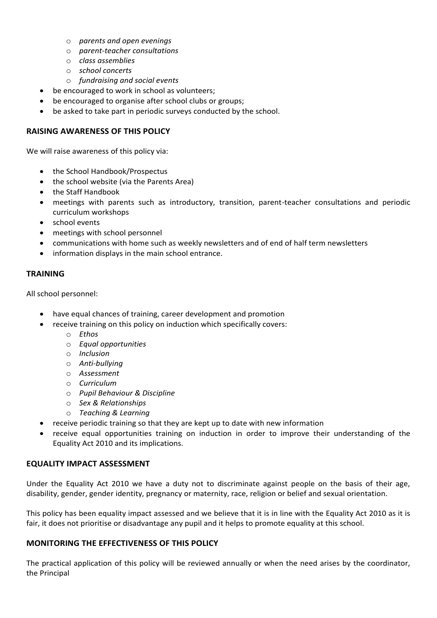- o *parents and open evenings*
- o *parent-teacher consultations*
- o *class assemblies*
- o *school concerts*
- o *fundraising and social events*
- be encouraged to work in school as volunteers;
- be encouraged to organise after school clubs or groups;
- be asked to take part in periodic surveys conducted by the school.

# **RAISING AWARENESS OF THIS POLICY**

We will raise awareness of this policy via:

- the School Handbook/Prospectus
- the school website (via the Parents Area)
- the Staff Handbook
- meetings with parents such as introductory, transition, parent-teacher consultations and periodic curriculum workshops
- school events
- meetings with school personnel
- communications with home such as weekly newsletters and of end of half term newsletters
- information displays in the main school entrance.

# **TRAINING**

All school personnel:

- have equal chances of training, career development and promotion
- receive training on this policy on induction which specifically covers:
	- o *Ethos*
	- o *Equal opportunities*
	- o *Inclusion*
	- o *Anti-bullying*
	- o *Assessment*
	- o *Curriculum*
	- o *Pupil Behaviour & Discipline*
	- o *Sex & Relationships*
	- o *Teaching & Learning*
- receive periodic training so that they are kept up to date with new information
- receive equal opportunities training on induction in order to improve their understanding of the Equality Act 2010 and its implications.

# **EQUALITY IMPACT ASSESSMENT**

Under the Equality Act 2010 we have a duty not to discriminate against people on the basis of their age, disability, gender, gender identity, pregnancy or maternity, race, religion or belief and sexual orientation.

This policy has been equality impact assessed and we believe that it is in line with the Equality Act 2010 as it is fair, it does not prioritise or disadvantage any pupil and it helps to promote equality at this school.

## **MONITORING THE EFFECTIVENESS OF THIS POLICY**

The practical application of this policy will be reviewed annually or when the need arises by the coordinator, the Principal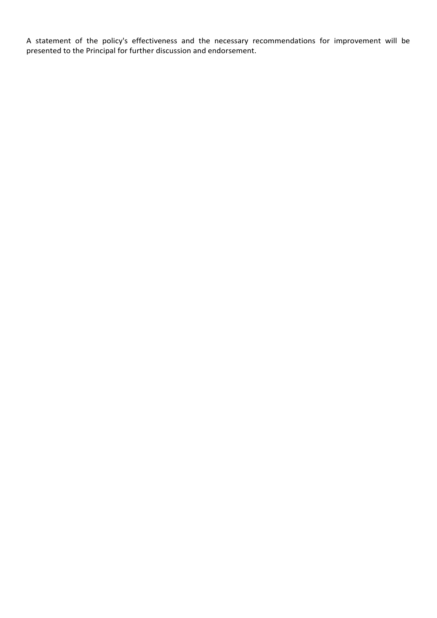A statement of the policy's effectiveness and the necessary recommendations for improvement will be presented to the Principal for further discussion and endorsement.